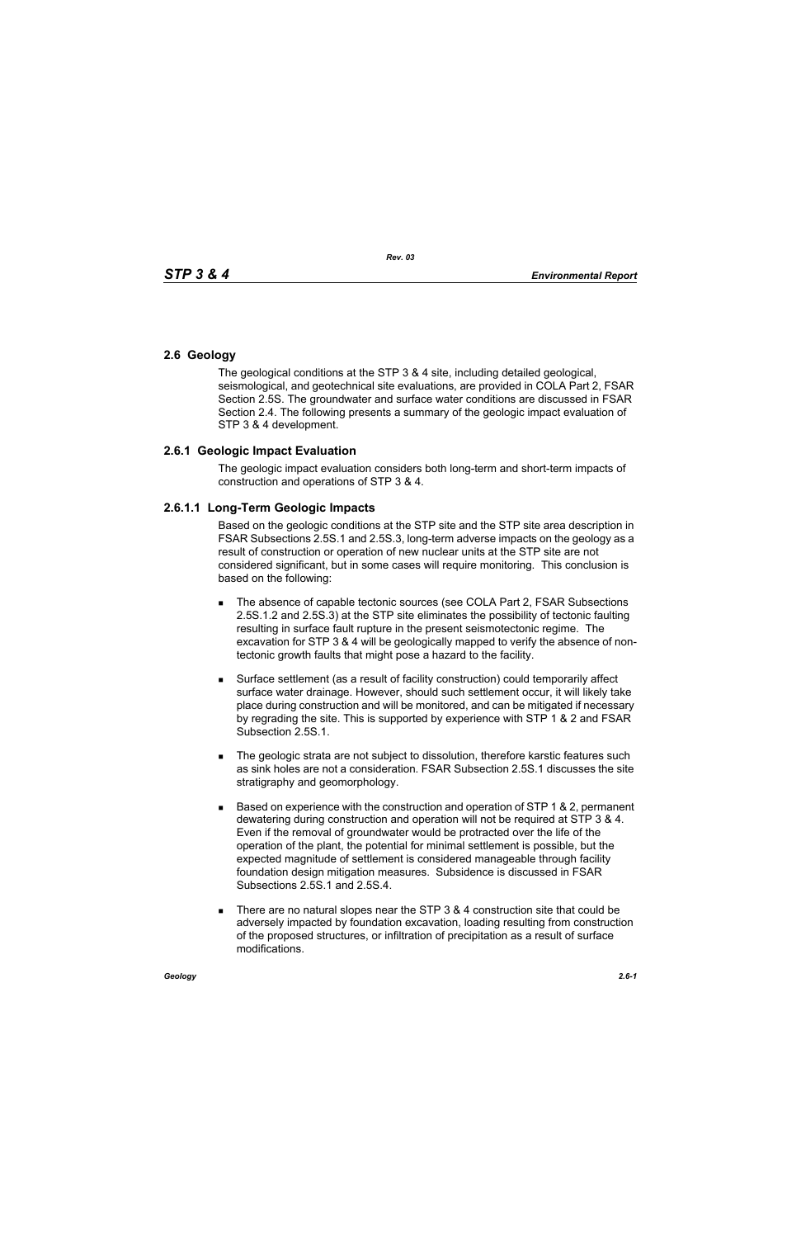## **2.6 Geology**

The geological conditions at the STP 3 & 4 site, including detailed geological, seismological, and geotechnical site evaluations, are provided in COLA Part 2, FSAR Section 2.5S. The groundwater and surface water conditions are discussed in FSAR Section 2.4. The following presents a summary of the geologic impact evaluation of STP 3 & 4 development.

## **2.6.1 Geologic Impact Evaluation**

The geologic impact evaluation considers both long-term and short-term impacts of construction and operations of STP 3 & 4.

## **2.6.1.1 Long-Term Geologic Impacts**

Based on the geologic conditions at the STP site and the STP site area description in FSAR Subsections 2.5S.1 and 2.5S.3, long-term adverse impacts on the geology as a result of construction or operation of new nuclear units at the STP site are not considered significant, but in some cases will require monitoring. This conclusion is based on the following:

- The absence of capable tectonic sources (see COLA Part 2, FSAR Subsections 2.5S.1.2 and 2.5S.3) at the STP site eliminates the possibility of tectonic faulting resulting in surface fault rupture in the present seismotectonic regime. The excavation for STP 3 & 4 will be geologically mapped to verify the absence of nontectonic growth faults that might pose a hazard to the facility.
- Surface settlement (as a result of facility construction) could temporarily affect surface water drainage. However, should such settlement occur, it will likely take place during construction and will be monitored, and can be mitigated if necessary by regrading the site. This is supported by experience with STP 1 & 2 and FSAR Subsection 2.5S.1.
- **The geologic strata are not subject to dissolution, therefore karstic features such** as sink holes are not a consideration. FSAR Subsection 2.5S.1 discusses the site stratigraphy and geomorphology.
- **Based on experience with the construction and operation of STP 1 & 2, permanent** dewatering during construction and operation will not be required at STP 3 & 4. Even if the removal of groundwater would be protracted over the life of the operation of the plant, the potential for minimal settlement is possible, but the expected magnitude of settlement is considered manageable through facility foundation design mitigation measures. Subsidence is discussed in FSAR Subsections 2.5S.1 and 2.5S.4.
- There are no natural slopes near the STP  $3.8.4$  construction site that could be adversely impacted by foundation excavation, loading resulting from construction of the proposed structures, or infiltration of precipitation as a result of surface modifications.